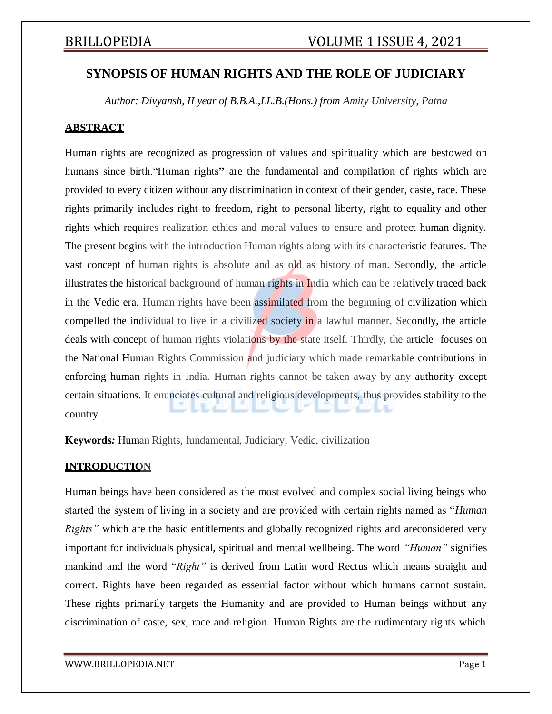## **SYNOPSIS OF HUMAN RIGHTS AND THE ROLE OF JUDICIARY**

*Author: Divyansh, II year of B.B.A.,LL.B.(Hons.) from Amity University, Patna*

### **ABSTRACT**

Human rights are recognized as progression of values and spirituality which are bestowed on humans since birth."Human rights**"** are the fundamental and compilation of rights which are provided to every citizen without any discrimination in context of their gender, caste, race. These rights primarily includes right to freedom, right to personal liberty, right to equality and other rights which requires realization ethics and moral values to ensure and protect human dignity. The present begins with the introduction Human rights along with its characteristic features. The vast concept of human rights is absolute and as old as history of man. Secondly, the article illustrates the historical background of human rights in India which can be relatively traced back in the Vedic era. Human rights have been assimilated from the beginning of civilization which compelled the individual to live in a civilized society in a lawful manner. Secondly, the article deals with concept of human rights violations by the state itself. Thirdly, the article focuses on the National Human Rights Commission and judiciary which made remarkable contributions in enforcing human rights in India. Human rights cannot be taken away by any authority except certain situations. It enunciates cultural and religious developments, thus provides stability to the country.

**Keywords***:* Human Rights, fundamental, Judiciary, Vedic, civilization

### **INTRODUCTION**

Human beings have been considered as the most evolved and complex social living beings who started the system of living in a society and are provided with certain rights named as "*Human Rights*" which are the basic entitlements and globally recognized rights and areconsidered very important for individuals physical, spiritual and mental wellbeing. The word *"Human"* signifies mankind and the word "*Right"* is derived from Latin word Rectus which means straight and correct. Rights have been regarded as essential factor without which humans cannot sustain. These rights primarily targets the Humanity and are provided to Human beings without any discrimination of caste, sex, race and religion. Human Rights are the rudimentary rights which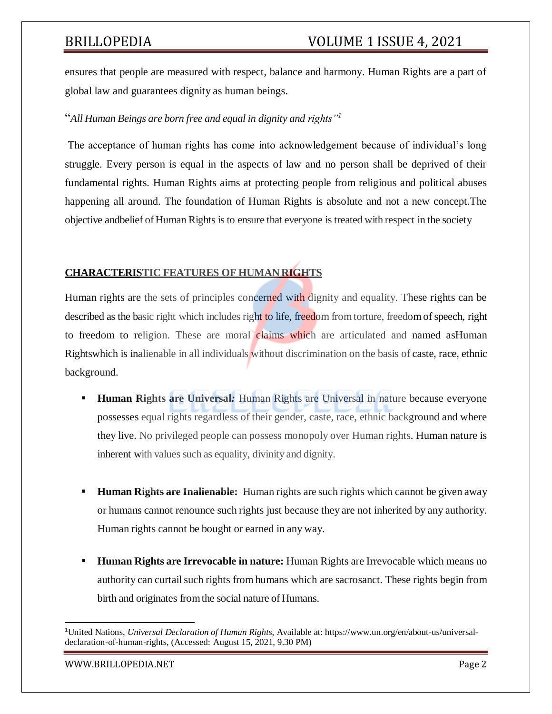ensures that people are measured with respect, balance and harmony. Human Rights are a part of global law and guarantees dignity as human beings.

### "*All Human Beings are born free and equal in dignity and rights"<sup>1</sup>*

The acceptance of human rights has come into acknowledgement because of individual's long struggle. Every person is equal in the aspects of law and no person shall be deprived of their fundamental rights. Human Rights aims at protecting people from religious and political abuses happening all around. The foundation of Human Rights is absolute and not a new concept.The objective andbelief of Human Rights isto ensure that everyone is treated with respect in the society

### **CHARACTERISTIC FEATURES OF HUMANRIGHTS**

Human rights are the sets of principles concerned with dignity and equality. These rights can be described as the basic right which includes right to life, freedom from torture, freedom of speech, right to freedom to religion. These are moral claims which are articulated and named asHuman Rightswhich is inalienable in all individuals without discrimination on the basis of caste, race, ethnic background.

- **Human Rights are Universal***:* Human Rights are Universal in nature because everyone possesses equal rights regardless of their gender, caste, race, ethnic background and where they live. No privileged people can possess monopoly over Human rights. Human nature is inherent with values such as equality, divinity and dignity.
- **Human Rights are Inalienable:** Human rights are such rights which cannot be given away or humans cannot renounce such rights just because they are not inherited by any authority. Human rights cannot be bought or earned in any way.
- **Human Rights are Irrevocable in nature:** Human Rights are Irrevocable which means no authority can curtail such rights from humans which are sacrosanct. These rights begin from birth and originates fromthe social nature of Humans.

[WWW.BRILLOPEDIA.NET](http://www.brillopedia.net/) **Page 2** 

<sup>1</sup>United Nations, *Universal Declaration of Human Rights*, Available at: https:/[/www.un.org/en/about-us/universal](http://www.un.org/en/about-us/universal-)declaration-of-human-rights, (Accessed: August 15, 2021, 9.30 PM)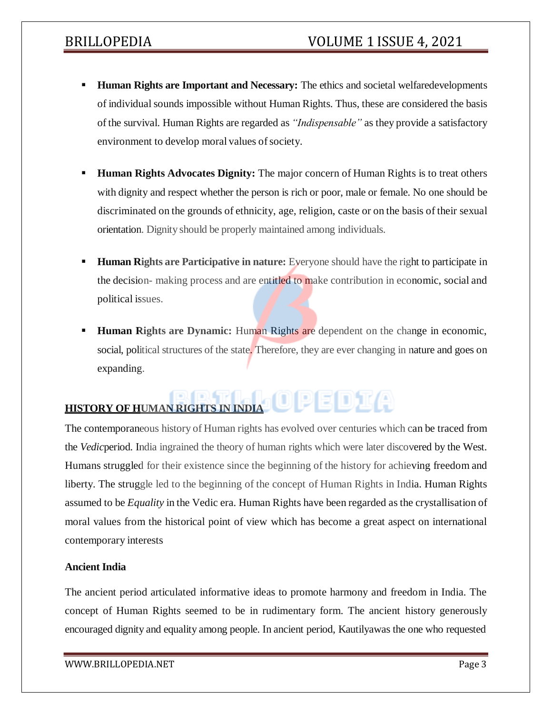- **Human Rights are Important and Necessary:** The ethics and societal welfaredevelopments of individual sounds impossible without Human Rights. Thus, these are considered the basis of the survival. Human Rights are regarded as *"Indispensable"* as they provide a satisfactory environment to develop moral values of society.
- **Human Rights Advocates Dignity:** The major concern of Human Rights is to treat others with dignity and respect whether the person is rich or poor, male or female. No one should be discriminated on the grounds of ethnicity, age, religion, caste or on the basis of their sexual orientation. Dignity should be properly maintained among individuals.
- **Human Rights are Participative in nature:** Everyone should have the right to participate in the decision- making process and are entitled to make contribution in economic, social and political issues.
- **Human Rights are Dynamic:** Human Rights are dependent on the change in economic, social, political structures of the state. Therefore, they are ever changing in nature and goes on expanding.

# **HISTORY OF HUMAN RIGHTS IN INDIA<sup>DIO</sup> DE DE LE CHI**

The contemporaneous history of Human rights has evolved over centuries which can be traced from the *Vedic*period. India ingrained the theory of human rights which were later discovered by the West. Humans struggled for their existence since the beginning of the history for achieving freedom and liberty. The struggle led to the beginning of the concept of Human Rights in India. Human Rights assumed to be *Equality* in the Vedic era. Human Rights have been regarded asthe crystallisation of moral values from the historical point of view which has become a great aspect on international contemporary interests

### **Ancient India**

The ancient period articulated informative ideas to promote harmony and freedom in India. The concept of Human Rights seemed to be in rudimentary form. The ancient history generously encouraged dignity and equality among people. In ancient period, Kautilyawas the one who requested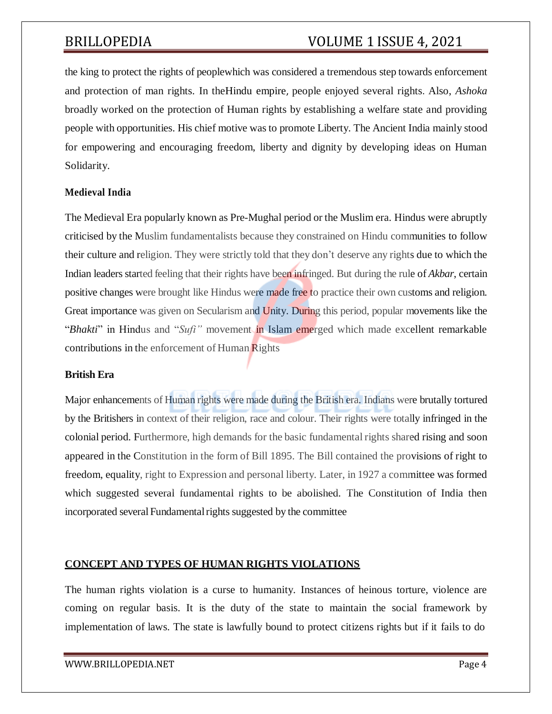# BRILLOPEDIA VOLUME 1 ISSUE 4, 2021

the king to protect the rights of peoplewhich was considered a tremendous step towards enforcement and protection of man rights. In theHindu empire, people enjoyed several rights. Also, *Ashoka* broadly worked on the protection of Human rights by establishing a welfare state and providing people with opportunities. His chief motive wasto promote Liberty. The Ancient India mainly stood for empowering and encouraging freedom, liberty and dignity by developing ideas on Human Solidarity.

#### **Medieval India**

The Medieval Era popularly known as Pre-Mughal period or the Muslim era. Hindus were abruptly criticised by the Muslim fundamentalists because they constrained on Hindu communities to follow their culture and religion. They were strictly told that they don't deserve any rights due to which the Indian leaders started feeling that their rights have been infringed. But during the rule of *Akbar*, certain positive changes were brought like Hindus were made free to practice their own customs and religion. Great importance was given on Secularism and Unity. During this period, popular movements like the "*Bhakti*" in Hindus and "*Sufi"* movement in Islam emerged which made excellent remarkable contributions in the enforcement of Human Rights

#### **British Era**

Major enhancements of Human rights were made during the British era. Indians were brutally tortured by the Britishers in context of their religion, race and colour. Their rights were totally infringed in the colonial period. Furthermore, high demands for the basic fundamental rights shared rising and soon appeared in the Constitution in the form of Bill 1895. The Bill contained the provisions of right to freedom, equality, right to Expression and personal liberty. Later, in 1927 a committee was formed which suggested several fundamental rights to be abolished. The Constitution of India then incorporated several Fundamental rights suggested by the committee

#### **CONCEPT AND TYPES OF HUMAN RIGHTS VIOLATIONS**

The human rights violation is a curse to humanity. Instances of heinous torture, violence are coming on regular basis. It is the duty of the state to maintain the social framework by implementation of laws. The state is lawfully bound to protect citizens rights but if it fails to do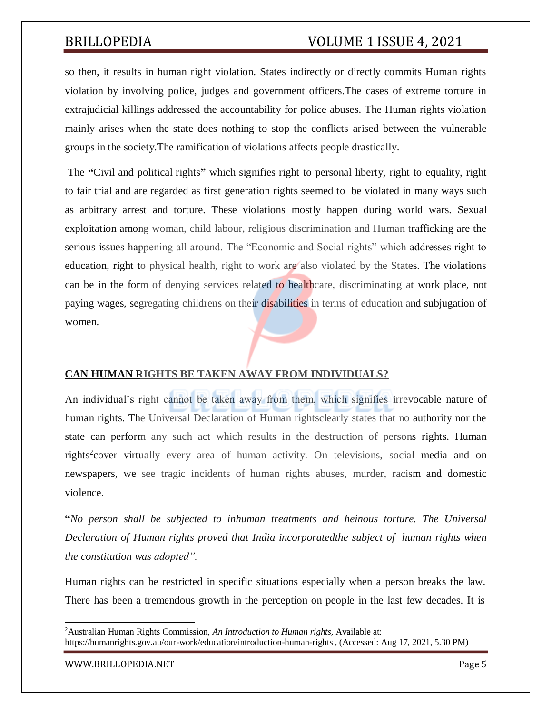# BRILLOPEDIA VOLUME 1 ISSUE 4, 2021

so then, it results in human right violation. States indirectly or directly commits Human rights violation by involving police, judges and government officers.The cases of extreme torture in extrajudicial killings addressed the accountability for police abuses. The Human rights violation mainly arises when the state does nothing to stop the conflicts arised between the vulnerable groups in the society.The ramification of violations affects people drastically.

The **"**Civil and political rights**"** which signifies right to personal liberty, right to equality, right to fair trial and are regarded as first generation rights seemed to be violated in many ways such as arbitrary arrest and torture. These violations mostly happen during world wars. Sexual exploitation among woman, child labour, religious discrimination and Human trafficking are the serious issues happening all around. The "Economic and Social rights" which addresses right to education, right to physical health, right to work are also violated by the States. The violations can be in the form of denying services related to healthcare, discriminating at work place, not paying wages, segregating childrens on their disabilities in terms of education and subjugation of women.

### **CAN HUMAN RIGHTS BE TAKEN AWAY FROM INDIVIDUALS?**

An individual's right cannot be taken away from them, which signifies irrevocable nature of human rights. The Universal Declaration of Human rightsclearly states that no authority nor the state can perform any such act which results in the destruction of persons rights. Human rights<sup>2</sup>cover virtually every area of human activity. On televisions, social media and on newspapers, we see tragic incidents of human rights abuses, murder, racism and domestic violence.

**"***No person shall be subjected to inhuman treatments and heinous torture. The Universal Declaration of Human rights proved that India incorporatedthe subject of human rights when the constitution was adopted".*

Human rights can be restricted in specific situations especially when a person breaks the law. There has been a tremendous growth in the perception on people in the last few decades. It is

[WWW.BRILLOPEDIA.NET](http://www.brillopedia.net/) Page 5

<sup>2</sup>Australian Human Rights Commission, *An Introduction to Human rights,* Available at: https://humanrights.gov.au/our-work/education/introduction-human-rights , (Accessed: Aug 17, 2021, 5.30 PM)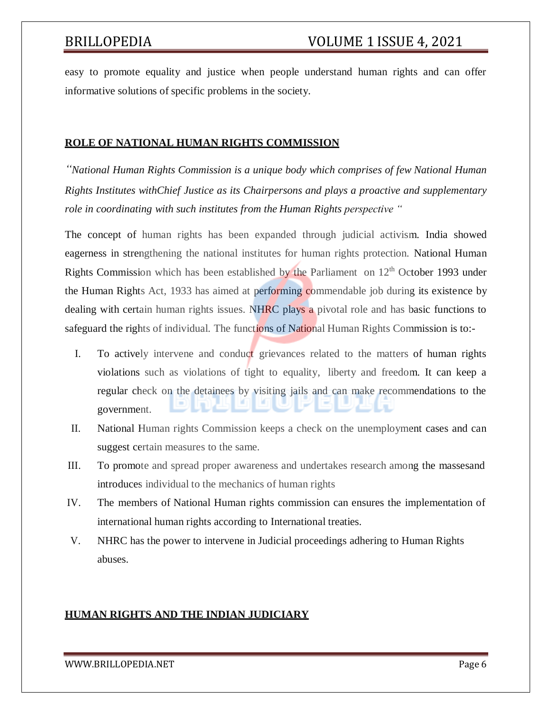easy to promote equality and justice when people understand human rights and can offer informative solutions of specific problems in the society.

#### **ROLE OF NATIONAL HUMAN RIGHTS COMMISSION**

*"National Human Rights Commission is a unique body which comprises of few National Human Rights Institutes withChief Justice as its Chairpersons and plays a proactive and supplementary role in coordinating with such institutes from the Human Rights perspective "*

The concept of human rights has been expanded through judicial activism. India showed eagerness in strengthening the national institutes for human rights protection. National Human Rights Commission which has been established by the Parliament on  $12<sup>th</sup>$  October 1993 under the Human Rights Act, 1933 has aimed at performing commendable job during its existence by dealing with certain human rights issues. NHRC plays a pivotal role and has basic functions to safeguard the rights of individual. The functions of National Human Rights Commission is to:-

- I. To actively intervene and conduct grievances related to the matters of human rights violations such as violations of tight to equality, liberty and freedom. It can keep a regular check on the detainees by visiting jails and can make recommendations to the government.
- II. National Human rights Commission keeps a check on the unemployment cases and can suggest certain measures to the same.
- III. To promote and spread proper awareness and undertakes research among the massesand introduces individual to the mechanics of human rights
- IV. The members of National Human rights commission can ensures the implementation of international human rights according to International treaties.
- V. NHRC has the power to intervene in Judicial proceedings adhering to Human Rights abuses.

### **HUMAN RIGHTS AND THE INDIAN JUDICIARY**

#### [WWW.BRILLOPEDIA.NET](http://www.brillopedia.net/)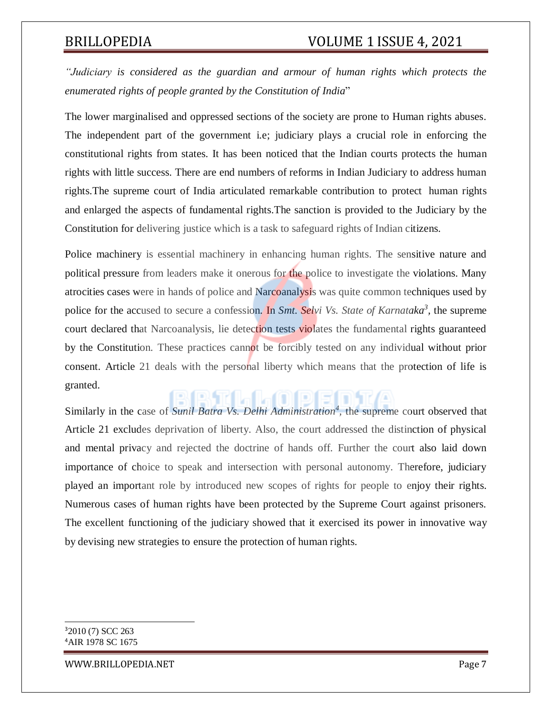*"Judiciary is considered as the guardian and armour of human rights which protects the enumerated rights of people granted by the Constitution of India*"

The lower marginalised and oppressed sections of the society are prone to Human rights abuses. The independent part of the government i.e; judiciary plays a crucial role in enforcing the constitutional rights from states. It has been noticed that the Indian courts protects the human rights with little success. There are end numbers of reforms in Indian Judiciary to address human rights.The supreme court of India articulated remarkable contribution to protect human rights and enlarged the aspects of fundamental rights.The sanction is provided to the Judiciary by the Constitution for delivering justice which is a task to safeguard rights of Indian citizens.

Police machinery is essential machinery in enhancing human rights. The sensitive nature and political pressure from leaders make it onerous for the police to investigate the violations. Many atrocities cases were in hands of police and Narcoanalysis was quite common techniques used by police for the accused to secure a confession. In *Smt. Selvi Vs. State of Karnataka*<sup>3</sup>, the supreme court declared that Narcoanalysis, lie detection tests violates the fundamental rights guaranteed by the Constitution. These practices cannot be forcibly tested on any individual without prior consent. Article 21 deals with the personal liberty which means that the protection of life is granted.

Similarly in the case of *Sunil Batra Vs. Delhi Administration<sup>4</sup>*, the supreme court observed that Article 21 excludes deprivation of liberty. Also, the court addressed the distinction of physical and mental privacy and rejected the doctrine of hands off. Further the court also laid down importance of choice to speak and intersection with personal autonomy. Therefore, judiciary played an important role by introduced new scopes of rights for people to enjoy their rights. Numerous cases of human rights have been protected by the Supreme Court against prisoners. The excellent functioning of the judiciary showed that it exercised its power in innovative way by devising new strategies to ensure the protection of human rights.

[WWW.BRILLOPEDIA.NET](http://www.brillopedia.net/) Page 7

<sup>3</sup>2010 (7) SCC 263 <sup>4</sup>AIR 1978 SC 1675